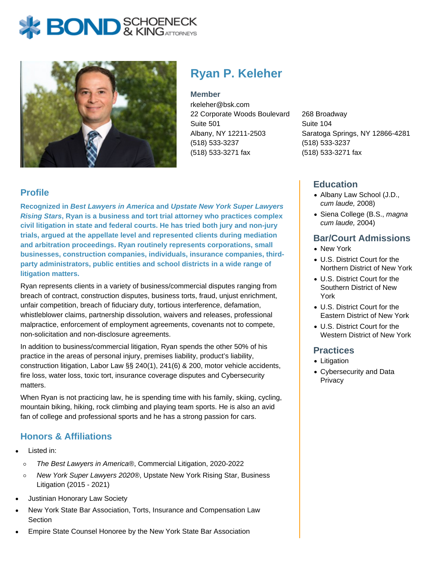



# **Ryan P. Keleher**

#### **Member**

rkeleher@bsk.com 22 Corporate Woods Boulevard Suite 501 Albany, NY 12211-2503 (518) 533-3237 (518) 533-3271 fax

268 Broadway Suite 104 Saratoga Springs, NY 12866-4281 (518) 533-3237 (518) 533-3271 fax

### **Education**

- Albany Law School (J.D., cum laude, 2008)
- Siena College (B.S., magna cum laude, 2004)

#### **Bar/Court Admissions**

- New York
- U.S. District Court for the Northern District of New York
- U.S. District Court for the Southern District of New York
- U.S. District Court for the Eastern District of New York
- U.S. District Court for the Western District of New York

#### **Practices**

- Litigation
- Cybersecurity and Data **Privacy**

# **Profile**

**Recognized in Best Lawyers in America and Upstate New York Super Lawyers Rising Stars, Ryan is a business and tort trial attorney who practices complex civil litigation in state and federal courts. He has tried both jury and non-jury trials, argued at the appellate level and represented clients during mediation and arbitration proceedings. Ryan routinely represents corporations, small businesses, construction companies, individuals, insurance companies, thirdparty administrators, public entities and school districts in a wide range of litigation matters.**

Ryan represents clients in a variety of business/commercial disputes ranging from breach of contract, construction disputes, business torts, fraud, unjust enrichment, unfair competition, breach of fiduciary duty, tortious interference, defamation, whistleblower claims, partnership dissolution, waivers and releases, professional malpractice, enforcement of employment agreements, covenants not to compete, non-solicitation and non-disclosure agreements.

In addition to business/commercial litigation, Ryan spends the other 50% of his practice in the areas of personal injury, premises liability, product's liability, construction litigation, Labor Law §§ 240(1), 241(6) & 200, motor vehicle accidents, fire loss, water loss, toxic tort, insurance coverage disputes and Cybersecurity matters.

When Ryan is not practicing law, he is spending time with his family, skiing, cycling, mountain biking, hiking, rock climbing and playing team sports. He is also an avid fan of college and professional sports and he has a strong passion for cars.

# **Honors & Affiliations**

- Listed in:
	- $\circ$ The Best Lawyers in America®, Commercial Litigation, 2020-2022
	- New York Super Lawyers 2020®, Upstate New York Rising Star, Business  $\circ$ Litigation (2015 - 2021)
- Justinian Honorary Law Society
- New York State Bar Association, Torts, Insurance and Compensation Law **Section**
- Empire State Counsel Honoree by the New York State Bar Association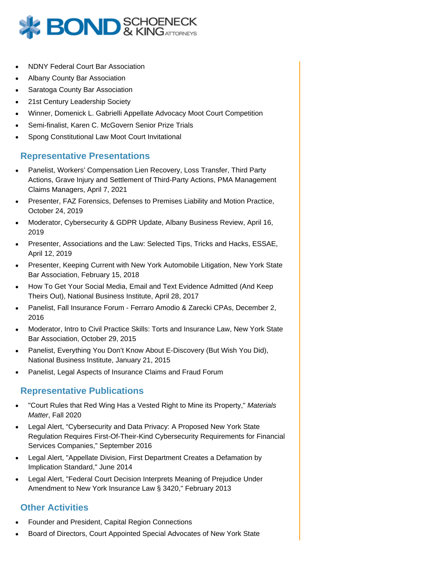

- NDNY Federal Court Bar Association
- Albany County Bar Association
- Saratoga County Bar Association
- 21st Century Leadership Society
- Winner, Domenick L. Gabrielli Appellate Advocacy Moot Court Competition
- Semi-finalist, Karen C. McGovern Senior Prize Trials
- Spong Constitutional Law Moot Court Invitational

#### **Representative Presentations**

- Panelist, Workers' Compensation Lien Recovery, Loss Transfer, Third Party Actions, Grave Injury and Settlement of Third-Party Actions, PMA Management Claims Managers, April 7, 2021
- Presenter, FAZ Forensics, Defenses to Premises Liability and Motion Practice, October 24, 2019
- Moderator, Cybersecurity & GDPR Update, Albany Business Review, April 16, 2019
- Presenter, Associations and the Law: Selected Tips, Tricks and Hacks, ESSAE, April 12, 2019
- Presenter, Keeping Current with New York Automobile Litigation, New York State Bar Association, February 15, 2018
- How To Get Your Social Media, Email and Text Evidence Admitted (And Keep Theirs Out), National Business Institute, April 28, 2017
- Panelist, Fall Insurance Forum Ferraro Amodio & Zarecki CPAs, December 2, 2016
- Moderator, Intro to Civil Practice Skills: Torts and Insurance Law, New York State Bar Association, October 29, 2015
- Panelist, Everything You Don't Know About E-Discovery (But Wish You Did), National Business Institute, January 21, 2015
- Panelist, Legal Aspects of Insurance Claims and Fraud Forum

# **Representative Publications**

- "Court Rules that Red Wing Has a Vested Right to Mine its Property," Materials Matter, Fall 2020
- Legal Alert, "Cybersecurity and Data Privacy: A Proposed New York State Regulation Requires First-Of-Their-Kind Cybersecurity Requirements for Financial Services Companies," September 2016
- Legal Alert, "Appellate Division, First Department Creates a Defamation by Implication Standard," June 2014
- Legal Alert, "Federal Court Decision Interprets Meaning of Prejudice Under Amendment to New York Insurance Law § 3420," February 2013

# **Other Activities**

- Founder and President, Capital Region Connections
- Board of Directors, Court Appointed Special Advocates of New York State